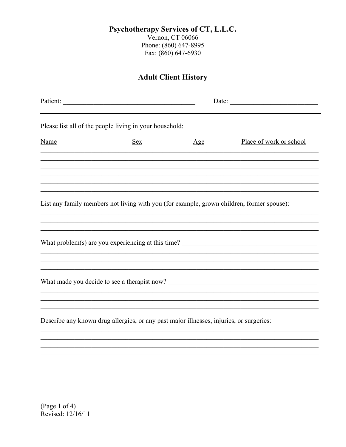## Psychotherapy Services of CT, L.L.C.

Vernon, CT 06066 Phone: (860) 647-8995 Fax: (860) 647-6930

## **Adult Client History**

|      | Patient:<br>Date: $\qquad \qquad$                                                       |     |                                                                                           |  |  |  |
|------|-----------------------------------------------------------------------------------------|-----|-------------------------------------------------------------------------------------------|--|--|--|
|      | Please list all of the people living in your household:                                 |     |                                                                                           |  |  |  |
| Name | <b>Sex</b>                                                                              | Age | Place of work or school                                                                   |  |  |  |
|      |                                                                                         |     |                                                                                           |  |  |  |
|      |                                                                                         |     | List any family members not living with you (for example, grown children, former spouse): |  |  |  |
|      |                                                                                         |     | What problem(s) are you experiencing at this time? ______________________________         |  |  |  |
|      |                                                                                         |     |                                                                                           |  |  |  |
|      | Describe any known drug allergies, or any past major illnesses, injuries, or surgeries: |     |                                                                                           |  |  |  |
|      |                                                                                         |     |                                                                                           |  |  |  |

(Page 1 of 4) Revised: 12/16/11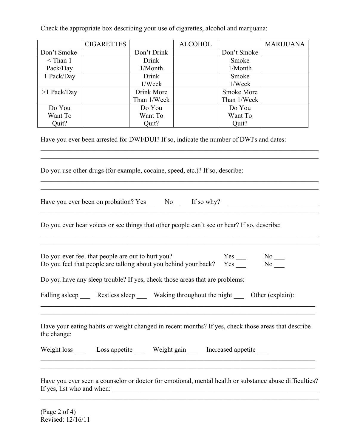|                                                       | <b>CIGARETTES</b>                                                                                                    |              | <b>ALCOHOL</b> |                                                                   | <b>MARIJUANA</b>                                                                                       |  |
|-------------------------------------------------------|----------------------------------------------------------------------------------------------------------------------|--------------|----------------|-------------------------------------------------------------------|--------------------------------------------------------------------------------------------------------|--|
| Don't Smoke                                           |                                                                                                                      | Don't Drink  |                | Don't Smoke                                                       |                                                                                                        |  |
| $<$ Than 1                                            |                                                                                                                      | Drink        |                | Smoke                                                             |                                                                                                        |  |
| Pack/Day                                              |                                                                                                                      | 1/Month      |                | 1/Month                                                           |                                                                                                        |  |
| 1 Pack/Day                                            |                                                                                                                      | <b>Drink</b> |                | Smoke                                                             |                                                                                                        |  |
|                                                       |                                                                                                                      | 1/Week       |                | 1/Week                                                            |                                                                                                        |  |
| $>1$ Pack/Day                                         |                                                                                                                      | Drink More   |                | Smoke More                                                        |                                                                                                        |  |
|                                                       |                                                                                                                      | Than 1/Week  |                | Than 1/Week                                                       |                                                                                                        |  |
| Do You                                                |                                                                                                                      | Do You       |                | Do You                                                            |                                                                                                        |  |
| Want To                                               |                                                                                                                      | Want To      |                | Want To                                                           |                                                                                                        |  |
| Quit?                                                 |                                                                                                                      | Quit?        |                | Quit?                                                             |                                                                                                        |  |
|                                                       | Do you use other drugs (for example, cocaine, speed, etc.)? If so, describe:                                         |              |                |                                                                   |                                                                                                        |  |
| Have you ever been on probation? Yes No<br>If so why? |                                                                                                                      |              |                |                                                                   |                                                                                                        |  |
|                                                       | Do you ever hear voices or see things that other people can't see or hear? If so, describe:                          |              |                |                                                                   |                                                                                                        |  |
|                                                       | Do you ever feel that people are out to hurt you?<br>Do you feel that people are talking about you behind your back? |              |                | $Yes$ <sub>___</sub><br>Yes                                       | $No$ —<br>$No$ <sub>___</sub>                                                                          |  |
|                                                       | Do you have any sleep trouble? If yes, check those areas that are problems:                                          |              |                |                                                                   |                                                                                                        |  |
|                                                       | Falling asleep Restless sleep Waking throughout the night Cher (explain):                                            |              |                |                                                                   |                                                                                                        |  |
| the change:                                           |                                                                                                                      |              |                |                                                                   | Have your eating habits or weight changed in recent months? If yes, check those areas that describe    |  |
|                                                       | Weight loss ______ Loss appetite _______ Weight gain ______ Increased appetite _____                                 |              |                | <u> 1999 - Johann John Stone, Amerikaansk politiker (d. 1989)</u> |                                                                                                        |  |
| If yes, list who and when:                            | ,我们也不能在这里的人,我们也不能在这里的人,我们也不能在这里的人,我们也不能在这里的人,我们也不能在这里的人,我们也不能在这里的人,我们也不能在这里的人,我们也                                    |              |                |                                                                   | Have you ever seen a counselor or doctor for emotional, mental health or substance abuse difficulties? |  |

 $\mathcal{L}_\mathcal{L} = \{ \mathcal{L}_\mathcal{L} = \{ \mathcal{L}_\mathcal{L} = \{ \mathcal{L}_\mathcal{L} = \{ \mathcal{L}_\mathcal{L} = \{ \mathcal{L}_\mathcal{L} = \{ \mathcal{L}_\mathcal{L} = \{ \mathcal{L}_\mathcal{L} = \{ \mathcal{L}_\mathcal{L} = \{ \mathcal{L}_\mathcal{L} = \{ \mathcal{L}_\mathcal{L} = \{ \mathcal{L}_\mathcal{L} = \{ \mathcal{L}_\mathcal{L} = \{ \mathcal{L}_\mathcal{L} = \{ \mathcal{L}_\mathcal{$ 

Check the appropriate box describing your use of cigarettes, alcohol and marijuana:

(Page 2 of 4) Revised: 12/16/11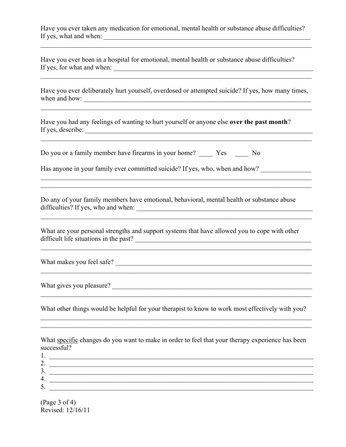Have you ever taken any medication for emotional, mental health or substance abuse difficulties? If yes, what and when: \_\_\_\_\_\_\_\_\_\_\_\_\_\_\_\_\_\_\_\_\_\_\_\_\_\_\_\_\_\_\_\_\_\_\_\_\_\_\_\_\_\_\_\_\_\_\_\_\_\_\_\_\_\_\_\_\_\_\_\_\_

 $\_$  , and the contribution of the contribution of the contribution of the contribution of  $\mathcal{L}_\text{max}$ 

Have you ever been in a hospital for emotional, mental health or substance abuse difficulties? If yes, for what and when:  $\frac{1}{\sqrt{1-\frac{1}{2}}\sqrt{1-\frac{1}{2}}\sqrt{1-\frac{1}{2}}\sqrt{1-\frac{1}{2}}\sqrt{1-\frac{1}{2}}\sqrt{1-\frac{1}{2}}\sqrt{1-\frac{1}{2}}\sqrt{1-\frac{1}{2}}\sqrt{1-\frac{1}{2}}\sqrt{1-\frac{1}{2}}\sqrt{1-\frac{1}{2}}\sqrt{1-\frac{1}{2}}\sqrt{1-\frac{1}{2}}\sqrt{1-\frac{1}{2}}\sqrt{1-\frac{1}{2}}\sqrt{1-\frac{1}{2}}\sqrt{1-\frac{1}{2}}\$ 

Have you ever deliberately hurt yourself, overdosed or attempted suicide? If yes, how many times, when and how:  $\Box$ 

 $\mathcal{L}_\mathcal{L} = \{ \mathcal{L}_\mathcal{L} = \{ \mathcal{L}_\mathcal{L} = \{ \mathcal{L}_\mathcal{L} = \{ \mathcal{L}_\mathcal{L} = \{ \mathcal{L}_\mathcal{L} = \{ \mathcal{L}_\mathcal{L} = \{ \mathcal{L}_\mathcal{L} = \{ \mathcal{L}_\mathcal{L} = \{ \mathcal{L}_\mathcal{L} = \{ \mathcal{L}_\mathcal{L} = \{ \mathcal{L}_\mathcal{L} = \{ \mathcal{L}_\mathcal{L} = \{ \mathcal{L}_\mathcal{L} = \{ \mathcal{L}_\mathcal{$ 

 $\_$  , and the contribution of the contribution of the contribution of the contribution of  $\mathcal{L}_\text{max}$ 

 $\_$  , and the contribution of the contribution of  $\mathcal{L}_\mathcal{A}$  , and the contribution of  $\mathcal{L}_\mathcal{A}$  $\mathcal{L}_\mathcal{L} = \{ \mathcal{L}_\mathcal{L} = \{ \mathcal{L}_\mathcal{L} = \{ \mathcal{L}_\mathcal{L} = \{ \mathcal{L}_\mathcal{L} = \{ \mathcal{L}_\mathcal{L} = \{ \mathcal{L}_\mathcal{L} = \{ \mathcal{L}_\mathcal{L} = \{ \mathcal{L}_\mathcal{L} = \{ \mathcal{L}_\mathcal{L} = \{ \mathcal{L}_\mathcal{L} = \{ \mathcal{L}_\mathcal{L} = \{ \mathcal{L}_\mathcal{L} = \{ \mathcal{L}_\mathcal{L} = \{ \mathcal{L}_\mathcal{$ 

 $\_$  , and the contribution of the contribution of the contribution of the contribution of  $\mathcal{L}_\text{max}$ 

Have you had any feelings of wanting to hurt yourself or anyone else **over the past month**? If yes, describe:

Do you or a family member have firearms in your home? Yes No

Has anyone in your family ever committed suicide? If yes, who, when and how?

Do any of your family members have emotional, behavioral, mental health or substance abuse difficulties? If yes, who and when: \_\_\_\_\_\_\_\_\_\_\_\_\_\_\_\_\_\_\_\_\_\_\_\_\_\_\_\_\_\_\_\_\_\_\_\_\_\_\_\_\_\_\_\_\_\_\_\_\_\_\_\_

What are your personal strengths and support systems that have allowed you to cope with other difficult life situations in the past? \_\_\_\_\_\_\_\_\_\_\_\_\_\_\_\_\_\_\_\_\_\_\_\_\_\_\_\_\_\_\_\_\_\_\_\_\_\_\_\_\_\_\_\_\_\_\_\_\_\_\_\_

 $\_$  , and the contribution of the contribution of the contribution of the contribution of  $\mathcal{L}_\text{max}$ 

 $\mathcal{L}_\text{max}$  and the contract of the contract of the contract of the contract of the contract of the contract of the contract of the contract of the contract of the contract of the contract of the contract of the contrac

What makes you feel safe?

What gives you pleasure?

What other things would be helpful for your therapist to know to work most effectively with you?

 $\mathcal{L}_\text{max} = \mathcal{L}_\text{max} = \mathcal{L}_\text{max} = \mathcal{L}_\text{max} = \mathcal{L}_\text{max} = \mathcal{L}_\text{max} = \mathcal{L}_\text{max} = \mathcal{L}_\text{max} = \mathcal{L}_\text{max} = \mathcal{L}_\text{max} = \mathcal{L}_\text{max} = \mathcal{L}_\text{max} = \mathcal{L}_\text{max} = \mathcal{L}_\text{max} = \mathcal{L}_\text{max} = \mathcal{L}_\text{max} = \mathcal{L}_\text{max} = \mathcal{L}_\text{max} = \mathcal{$  $\_$  , and the contribution of the contribution of the contribution of the contribution of  $\mathcal{L}_\text{max}$ 

 $\_$  , and the contribution of the contribution of the contribution of the contribution of  $\mathcal{L}_\text{max}$ 

What specific changes do you want to make in order to feel that your therapy experience has been successful?

 $1.$   $\_\_$ 2.  $\frac{1}{2}$ 3. \_\_\_\_\_\_\_\_\_\_\_\_\_\_\_\_\_\_\_\_\_\_\_\_\_\_\_\_\_\_\_\_\_\_\_\_\_\_\_\_\_\_\_\_\_\_\_\_\_\_\_\_\_\_\_\_\_\_\_\_\_\_\_\_\_\_\_\_\_\_\_\_\_\_\_\_\_\_ 4. \_\_\_\_\_\_\_\_\_\_\_\_\_\_\_\_\_\_\_\_\_\_\_\_\_\_\_\_\_\_\_\_\_\_\_\_\_\_\_\_\_\_\_\_\_\_\_\_\_\_\_\_\_\_\_\_\_\_\_\_\_\_\_\_\_\_\_\_\_\_\_\_\_\_\_\_\_\_  $5.$ 

(Page 3 of 4) Revised: 12/16/11